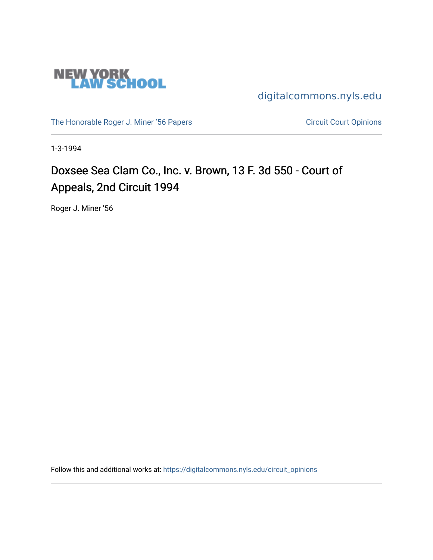

[digitalcommons.nyls.edu](https://digitalcommons.nyls.edu/) 

[The Honorable Roger J. Miner '56 Papers](https://digitalcommons.nyls.edu/miner_papers) Circuit Court Opinions

1-3-1994

# Doxsee Sea Clam Co., Inc. v. Brown, 13 F. 3d 550 - Court of Appeals, 2nd Circuit 1994

Roger J. Miner '56

Follow this and additional works at: [https://digitalcommons.nyls.edu/circuit\\_opinions](https://digitalcommons.nyls.edu/circuit_opinions?utm_source=digitalcommons.nyls.edu%2Fcircuit_opinions%2F393&utm_medium=PDF&utm_campaign=PDFCoverPages)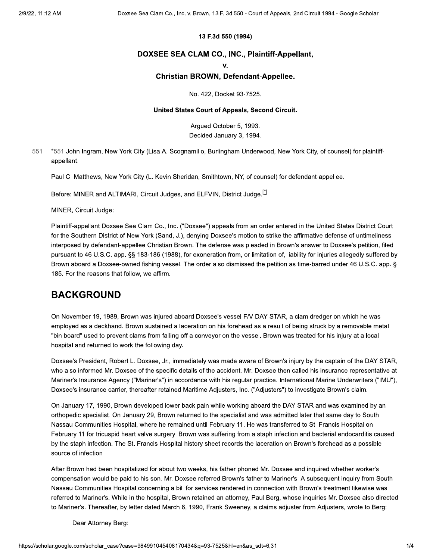#### 13 F.3d 550 (1994)

#### DOXSEE SEA CLAM CO., INC., Plaintiff-Appellant,

 $\mathbf{V}$ 

#### Christian BROWN, Defendant-Appellee.

No. 422, Docket 93-7525.

#### United States Court of Appeals, Second Circuit.

Arqued October 5, 1993. Decided January 3, 1994.

551 \*551 John Ingram, New York City (Lisa A. Scognamillo, Burlingham Underwood, New York City, of counsel) for plaintiffappellant.

Paul C. Matthews, New York City (L. Kevin Sheridan, Smithtown, NY, of counsel) for defendant-appellee.

Before: MINER and ALTIMARI, Circuit Judges, and ELFVIN, District Judge.<sup>[2]</sup>

MINER, Circuit Judge:

Plaintiff-appellant Doxsee Sea Clam Co., Inc. ("Doxsee") appeals from an order entered in the United States District Court for the Southern District of New York (Sand, J.), denying Doxsee's motion to strike the affirmative defense of untimeliness interposed by defendant-appellee Christian Brown. The defense was pleaded in Brown's answer to Doxsee's petition, filed pursuant to 46 U.S.C. app. §§ 183-186 (1988), for exoneration from, or limitation of, liability for injuries allegedly suffered by Brown aboard a Doxsee-owned fishing vessel. The order also dismissed the petition as time-barred under 46 U.S.C. app. § 185. For the reasons that follow, we affirm.

### **BACKGROUND**

On November 19, 1989, Brown was injured aboard Doxsee's vessel F/V DAY STAR, a clam dredger on which he was employed as a deckhand. Brown sustained a laceration on his forehead as a result of being struck by a removable metal "bin board" used to prevent clams from falling off a conveyor on the vessel. Brown was treated for his injury at a local hospital and returned to work the following day.

Doxsee's President, Robert L. Doxsee, Jr., immediately was made aware of Brown's injury by the captain of the DAY STAR, who also informed Mr. Doxsee of the specific details of the accident. Mr. Doxsee then called his insurance representative at Mariner's Insurance Agency ("Mariner's") in accordance with his regular practice. International Marine Underwriters ("IMU"), Doxsee's insurance carrier, thereafter retained Maritime Adjusters, Inc. ("Adjusters") to investigate Brown's claim.

On January 17, 1990, Brown developed lower back pain while working aboard the DAY STAR and was examined by an orthopedic specialist. On January 29, Brown returned to the specialist and was admitted later that same day to South Nassau Communities Hospital, where he remained until February 11. He was transferred to St. Francis Hospital on February 11 for tricuspid heart valve surgery. Brown was suffering from a staph infection and bacterial endocarditis caused by the staph infection. The St. Francis Hospital history sheet records the laceration on Brown's forehead as a possible source of infection.

After Brown had been hospitalized for about two weeks, his father phoned Mr. Doxsee and inquired whether worker's compensation would be paid to his son. Mr. Doxsee referred Brown's father to Mariner's. A subsequent inquiry from South Nassau Communities Hospital concerning a bill for services rendered in connection with Brown's treatment likewise was referred to Mariner's. While in the hospital, Brown retained an attorney, Paul Berg, whose inquiries Mr. Doxsee also directed to Mariner's. Thereafter, by letter dated March 6, 1990, Frank Sweeney, a claims adjuster from Adjusters, wrote to Berg:

Dear Attorney Berg: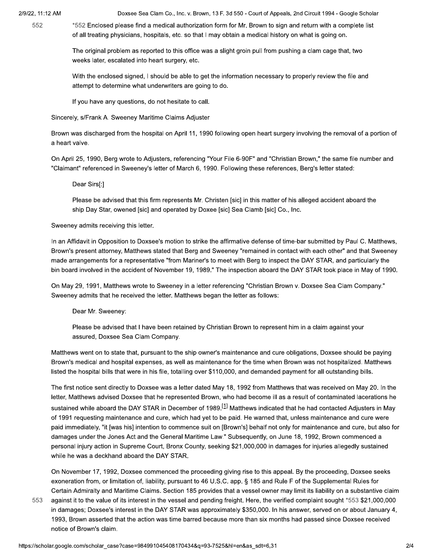552

Doxsee Sea Clam Co., Inc. v. Brown, 13 F. 3d 550 - Court of Appeals, 2nd Circuit 1994 - Google Scholar

\*552 Enclosed please find a medical authorization form for Mr. Brown to sign and return with a complete list of all treating physicians, hospitals, etc. so that I may obtain a medical history on what is going on.

The original problem as reported to this office was a slight groin pull from pushing a clam cage that, two weeks later, escalated into heart surgery, etc.

With the enclosed signed, I should be able to get the information necessary to properly review the file and attempt to determine what underwriters are going to do.

If you have any questions, do not hesitate to call.

Sincerely, s/Frank A. Sweeney Maritime Claims Adjuster

Brown was discharged from the hospital on April 11, 1990 following open heart surgery involving the removal of a portion of a heart valve.

On April 25, 1990, Berg wrote to Adjusters, referencing "Your File 6-90F" and "Christian Brown," the same file number and "Claimant" referenced in Sweeney's letter of March 6, 1990. Following these references, Berg's letter stated:

Dear Sirs[:]

Please be advised that this firm represents Mr. Christen [sic] in this matter of his alleged accident aboard the ship Day Star, owened [sic] and operated by Doxee [sic] Sea Clamb [sic] Co., Inc.

Sweeney admits receiving this letter.

In an Affidavit in Opposition to Doxsee's motion to strike the affirmative defense of time-bar submitted by Paul C. Matthews, Brown's present attorney, Matthews stated that Berg and Sweeney "remained in contact with each other" and that Sweeney made arrangements for a representative "from Mariner's to meet with Berg to inspect the DAY STAR, and particularly the bin board involved in the accident of November 19, 1989." The inspection aboard the DAY STAR took place in May of 1990.

On May 29, 1991, Matthews wrote to Sweeney in a letter referencing "Christian Brown v. Doxsee Sea Clam Company." Sweeney admits that he received the letter. Matthews began the letter as follows:

Dear Mr. Sweeney:

Please be advised that I have been retained by Christian Brown to represent him in a claim against your assured, Doxsee Sea Clam Company.

Matthews went on to state that, pursuant to the ship owner's maintenance and cure obligations, Doxsee should be paying Brown's medical and hospital expenses, as well as maintenance for the time when Brown was not hospitalized. Matthews listed the hospital bills that were in his file, totalling over \$110,000, and demanded payment for all outstanding bills.

The first notice sent directly to Doxsee was a letter dated May 18, 1992 from Matthews that was received on May 20. In the letter, Matthews advised Doxsee that he represented Brown, who had become ill as a result of contaminated lacerations he sustained while aboard the DAY STAR in December of 1989.<sup>[1]</sup> Matthews indicated that he had contacted Adjusters in May of 1991 requesting maintenance and cure, which had yet to be paid. He warned that, unless maintenance and cure were paid immediately, "it [was his] intention to commence suit on [Brown's] behalf not only for maintenance and cure, but also for damages under the Jones Act and the General Maritime Law." Subsequently, on June 18, 1992, Brown commenced a personal injury action in Supreme Court, Bronx County, seeking \$21,000,000 in damages for injuries allegedly sustained while he was a deckhand aboard the DAY STAR.

On November 17, 1992, Doxsee commenced the proceeding giving rise to this appeal. By the proceeding, Doxsee seeks exoneration from, or limitation of, liability, pursuant to 46 U.S.C. app. § 185 and Rule F of the Supplemental Rules for Certain Admiralty and Maritime Claims. Section 185 provides that a vessel owner may limit its liability on a substantive claim

553 against it to the value of its interest in the vessel and pending freight. Here, the verified complaint sought \*553 \$21,000,000 in damages; Doxsee's interest in the DAY STAR was approximately \$350,000. In his answer, served on or about January 4, 1993, Brown asserted that the action was time barred because more than six months had passed since Doxsee received notice of Brown's claim.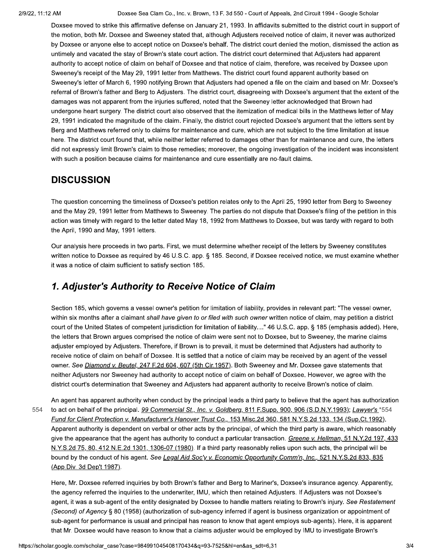Doxsee Sea Clam Co., Inc. v. Brown, 13 F. 3d 550 - Court of Appeals, 2nd Circuit 1994 - Google Scholar

Doxsee moved to strike this affirmative defense on January 21, 1993. In affidavits submitted to the district court in support of the motion, both Mr. Doxsee and Sweeney stated that, although Adjusters received notice of claim, it never was authorized by Doxsee or anyone else to accept notice on Doxsee's behalf. The district court denied the motion, dismissed the action as untimely and vacated the stay of Brown's state court action. The district court determined that Adjusters had apparent authority to accept notice of claim on behalf of Doxsee and that notice of claim, therefore, was received by Doxsee upon Sweeney's receipt of the May 29, 1991 letter from Matthews. The district court found apparent authority based on Sweeney's letter of March 6, 1990 notifying Brown that Adjusters had opened a file on the claim and based on Mr. Doxsee's referral of Brown's father and Berg to Adjusters. The district court, disagreeing with Doxsee's argument that the extent of the damages was not apparent from the injuries suffered, noted that the Sweeney letter acknowledged that Brown had undergone heart surgery. The district court also observed that the itemization of medical bills in the Matthews letter of May 29, 1991 indicated the magnitude of the claim. Finally, the district court rejected Doxsee's argument that the letters sent by Berg and Matthews referred only to claims for maintenance and cure, which are not subject to the time limitation at issue here. The district court found that, while neither letter referred to damages other than for maintenance and cure, the letters did not expressly limit Brown's claim to those remedies; moreover, the ongoing investigation of the incident was inconsistent with such a position because claims for maintenance and cure essentially are no-fault claims.

### **DISCUSSION**

The question concerning the timeliness of Doxsee's petition relates only to the April 25, 1990 letter from Berg to Sweeney and the May 29, 1991 letter from Matthews to Sweeney. The parties do not dispute that Doxsee's filing of the petition in this action was timely with regard to the letter dated May 18, 1992 from Matthews to Doxsee, but was tardy with regard to both the April, 1990 and May, 1991 letters.

Our analysis here proceeds in two parts. First, we must determine whether receipt of the letters by Sweeney constitutes written notice to Doxsee as required by 46 U.S.C. app. § 185. Second, if Doxsee received notice, we must examine whether it was a notice of claim sufficient to satisfy section 185.

## 1. Adjuster's Authority to Receive Notice of Claim

Section 185, which governs a vessel owner's petition for limitation of liability, provides in relevant part: "The vessel owner, within six months after a claimant shall have given to or filed with such owner written notice of claim, may petition a district court of the United States of competent jurisdiction for limitation of liability...." 46 U.S.C. app. § 185 (emphasis added). Here, the letters that Brown argues comprised the notice of claim were sent not to Doxsee, but to Sweeney, the marine claims adjuster employed by Adjusters. Therefore, if Brown is to prevail, it must be determined that Adjusters had authority to receive notice of claim on behalf of Doxsee. It is settled that a notice of claim may be received by an agent of the vessel owner. See Diamond v. Beutel, 247 F.2d 604, 607 (5th Cir.1957). Both Sweeney and Mr. Doxsee gave statements that neither Adjusters nor Sweeney had authority to accept notice of claim on behalf of Doxsee. However, we agree with the district court's determination that Sweeney and Adjusters had apparent authority to receive Brown's notice of claim.

An agent has apparent authority when conduct by the principal leads a third party to believe that the agent has authorization to act on behalf of the principal. 99 Commercial St., Inc. v. Goldberg, 811 F.Supp. 900, 906 (S.D.N.Y.1993); Lawyer's \*554 554 Fund for Client Protection v. Manufacturer's Hanover Trust Co., 153 Misc.2d 360, 581 N.Y.S.2d 133, 134 (Sup.Ct.1992). Apparent authority is dependent on verbal or other acts by the principal, of which the third party is aware, which reasonably give the appearance that the agent has authority to conduct a particular transaction. Greene v. Hellman, 51 N.Y.2d 197, 433 N.Y.S.2d 75, 80, 412 N.E.2d 1301, 1306-07 (1980). If a third party reasonably relies upon such acts, the principal will be bound by the conduct of his agent. See Legal Aid Soc'y v. Economic Opportunity Comm'n, Inc., 521 N.Y.S.2d 833, 835 (App.Div. 3d Dep't 1987).

Here, Mr. Doxsee referred inquiries by both Brown's father and Berg to Mariner's, Doxsee's insurance agency. Apparently, the agency referred the inquiries to the underwriter, IMU, which then retained Adjusters. If Adjusters was not Doxsee's agent, it was a sub-agent of the entity designated by Doxsee to handle matters relating to Brown's injury. See Restatement (Second) of Agency § 80 (1958) (authorization of sub-agency inferred if agent is business organization or appointment of sub-agent for performance is usual and principal has reason to know that agent employs sub-agents). Here, it is apparent that Mr. Doxsee would have reason to know that a claims adjuster would be employed by IMU to investigate Brown's